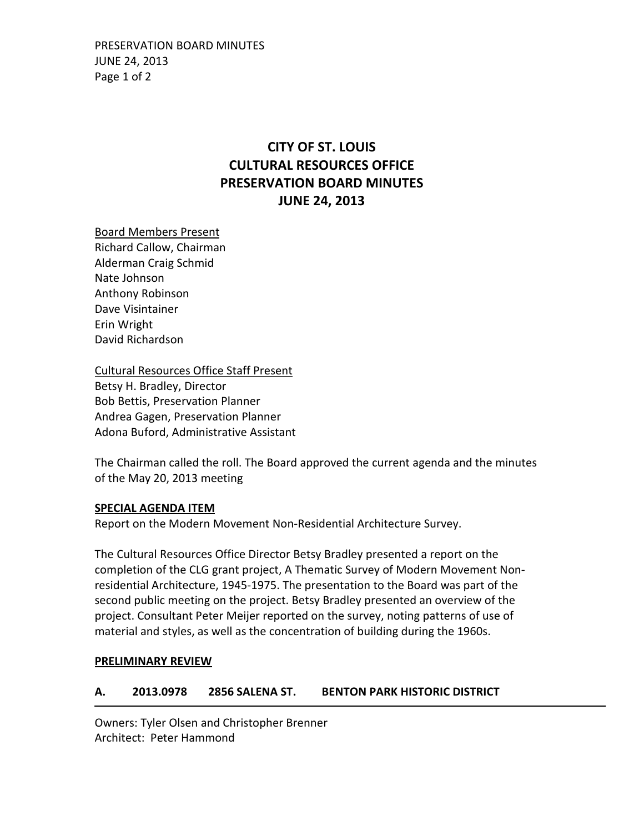PRESERVATION BOARD MINUTES JUNE 24, 2013 Page 1 of 2

# **CITY OF ST. LOUIS CULTURAL RESOURCES OFFICE PRESERVATION BOARD MINUTES JUNE 24, 2013**

Board Members Present Richard Callow, Chairman Alderman Craig Schmid Nate Johnson Anthony Robinson Dave Visintainer Erin Wright David Richardson

Cultural Resources Office Staff Present Betsy H. Bradley, Director Bob Bettis, Preservation Planner Andrea Gagen, Preservation Planner Adona Buford, Administrative Assistant

The Chairman called the roll. The Board approved the current agenda and the minutes of the May 20, 2013 meeting

### **SPECIAL AGENDA ITEM**

Report on the Modern Movement Non-Residential Architecture Survey.

The Cultural Resources Office Director Betsy Bradley presented a report on the completion of the CLG grant project, A Thematic Survey of Modern Movement Nonresidential Architecture, 1945-1975. The presentation to the Board was part of the second public meeting on the project. Betsy Bradley presented an overview of the project. Consultant Peter Meijer reported on the survey, noting patterns of use of material and styles, as well as the concentration of building during the 1960s.

#### **PRELIMINARY REVIEW**

### **A. 2013.0978 2856 SALENA ST. BENTON PARK HISTORIC DISTRICT**

Owners: Tyler Olsen and Christopher Brenner Architect: Peter Hammond